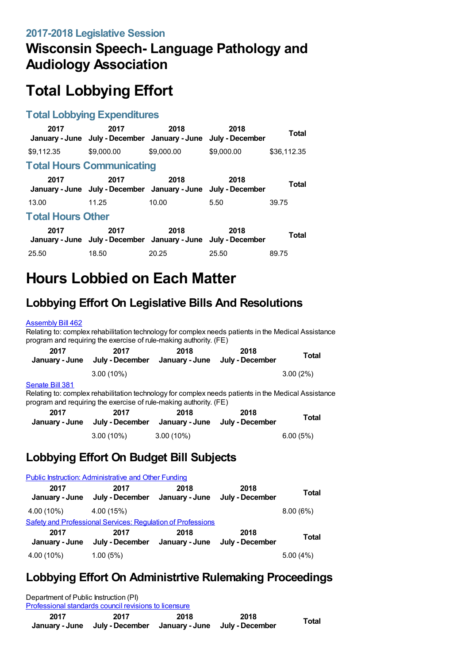## **Wisconsin Speech- Language Pathology and Audiology Association**

# **Total Lobbying Effort**

#### **Total Lobbying Expenditures**

| 2017                     | 2017<br>January - June July - December January - June July - December | 2018       | 2018       | Total       |  |
|--------------------------|-----------------------------------------------------------------------|------------|------------|-------------|--|
| \$9.112.35               | \$9,000.00                                                            | \$9,000.00 | \$9,000.00 | \$36,112.35 |  |
|                          | <b>Total Hours Communicating</b>                                      |            |            |             |  |
| 2017                     | 2017<br>January - June July - December January - June July - December | 2018       | 2018       | Total       |  |
| 13.00                    | 11.25                                                                 | 10.00      | 5.50       | 39.75       |  |
| <b>Total Hours Other</b> |                                                                       |            |            |             |  |
| 2017                     | 2017<br>January - June July - December January - June July - December | 2018       | 2018       | Total       |  |
| 25.50                    | 18.50                                                                 | 20.25      | 25.50      | 89.75       |  |

## **Hours Lobbied on Each Matter**

## **Lobbying Effort On Legislative Bills And Resolutions**

#### [Assembly](https://lobbying.wi.gov/What/BillInformation/2017REG/Information/14667?tab=Efforts) Bill 462

Relating to: complex rehabilitation technology for complex needs patients in the Medical Assistance program and requiring the exercise of rule-making authority. (FE)

| 2017<br>January - June | 2017<br>July - December                                                                                                                                                  | 2018<br>January - June | 2018<br>July - December | <b>Total</b> |
|------------------------|--------------------------------------------------------------------------------------------------------------------------------------------------------------------------|------------------------|-------------------------|--------------|
|                        | $3.00(10\%)$                                                                                                                                                             |                        |                         | $3.00(2\%)$  |
| Senate Bill 381        | Relating to: complex rehabilitation technology for complex needs patients in the Medical Assistance<br>program and requiring the exercise of rule-making authority. (FE) |                        |                         |              |
| 2017                   | 2017                                                                                                                                                                     | 2018                   | 2018                    | <b>Tatal</b> |

| 2017 | 2017<br>January - June July - December January - June July - December | 2018         | 2018 | Total    |
|------|-----------------------------------------------------------------------|--------------|------|----------|
|      | $3.00(10\%)$                                                          | $3.00(10\%)$ |      | 6.00(5%) |

#### **Lobbying Effort On Budget Bill Subjects**

|                        | <b>Public Instruction: Administrative and Other Funding</b>        |      |                         |              |
|------------------------|--------------------------------------------------------------------|------|-------------------------|--------------|
| 2017<br>January - June | 2017<br>July - December January - June                             | 2018 | 2018<br>July - December | <b>Total</b> |
| 4.00 (10%)             | 4.00(15%)                                                          |      |                         | 8.00(6%)     |
|                        | <b>Safety and Professional Services: Regulation of Professions</b> |      |                         |              |
| 2017<br>January - June | 2017<br>July - December January - June                             | 2018 | 2018<br>July - December | <b>Total</b> |
| 4.00 (10%)             | 1.00(5%)                                                           |      |                         | 5.00(4%)     |

### **Lobbying Effort On Administrtive Rulemaking Proceedings**

| 2017<br>January - June                | 2017<br>July - December                               | 2018 | 2018<br>January - June July - December | Total |
|---------------------------------------|-------------------------------------------------------|------|----------------------------------------|-------|
|                                       | Professional standards council revisions to licensure |      |                                        |       |
| Department of Public Instruction (PI) |                                                       |      |                                        |       |